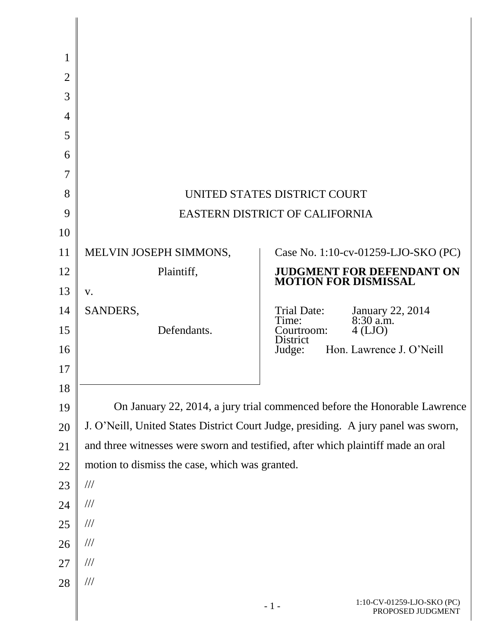| 1              |                                                |                                                                                    |
|----------------|------------------------------------------------|------------------------------------------------------------------------------------|
| 2              |                                                |                                                                                    |
| 3              |                                                |                                                                                    |
| $\overline{4}$ |                                                |                                                                                    |
| 5              |                                                |                                                                                    |
| 6              |                                                |                                                                                    |
| 7              |                                                |                                                                                    |
| 8              |                                                | UNITED STATES DISTRICT COURT                                                       |
| 9              |                                                | EASTERN DISTRICT OF CALIFORNIA                                                     |
| 10             |                                                |                                                                                    |
| 11             | MELVIN JOSEPH SIMMONS,                         | Case No. 1:10-cv-01259-LJO-SKO (PC)                                                |
| 12             | Plaintiff,                                     | <b>JUDGMENT FOR DEFENDANT ON</b><br><b>MOTION FOR DISMISSAL</b>                    |
| 13             | V.                                             |                                                                                    |
| 14             | SANDERS,                                       | Trial Date:<br>January 22, 2014<br>8:30 a.m.<br>Time:                              |
| 15             | Defendants.                                    | $4$ (LJO)<br>Courtroom:<br>District                                                |
| 16             |                                                | Hon. Lawrence J. O'Neill<br>Judge:                                                 |
| 17             |                                                |                                                                                    |
| 18             |                                                |                                                                                    |
| 19             |                                                | On January 22, 2014, a jury trial commenced before the Honorable Lawrence          |
| 20             |                                                | J. O'Neill, United States District Court Judge, presiding. A jury panel was sworn, |
| 21             |                                                | and three witnesses were sworn and testified, after which plaintiff made an oral   |
| 22             | motion to dismiss the case, which was granted. |                                                                                    |
| 23             | $/\!/ \!/$                                     |                                                                                    |
| 24             | $\frac{1}{1}$                                  |                                                                                    |
| 25             | $\frac{1}{1}$                                  |                                                                                    |
| 26             | $\frac{1}{1}$                                  |                                                                                    |
| 27             | $\frac{1}{1}$                                  |                                                                                    |
| 28             | $\frac{1}{1}$                                  |                                                                                    |
|                |                                                | 1:10-CV-01259-LJO-SKO (PC)<br>$-1-$<br>PROPOSED JUDGMENT                           |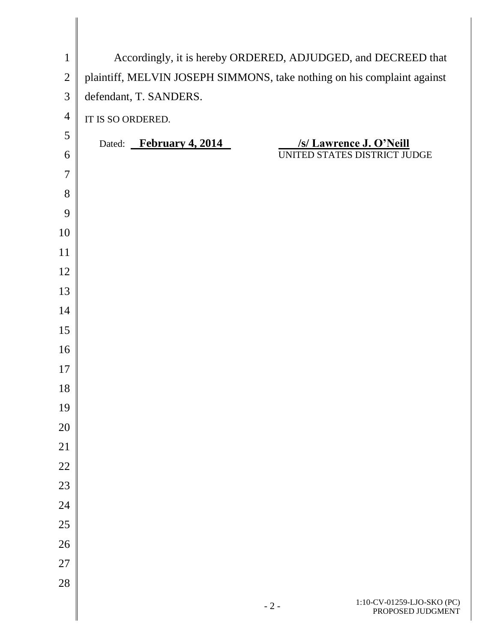| $\mathbf{1}$   | Accordingly, it is hereby ORDERED, ADJUDGED, and DECREED that           |
|----------------|-------------------------------------------------------------------------|
| $\sqrt{2}$     | plaintiff, MELVIN JOSEPH SIMMONS, take nothing on his complaint against |
| 3              | defendant, T. SANDERS.                                                  |
| $\overline{4}$ | IT IS SO ORDERED.                                                       |
| 5              | Dated: February 4, 2014<br>/s/ Lawrence J. O'Neill                      |
| 6              | UNITED STATES DISTRICT JUDGE                                            |
| $\overline{7}$ |                                                                         |
| 8              |                                                                         |
| 9              |                                                                         |
| 10             |                                                                         |
| 11             |                                                                         |
| 12             |                                                                         |
| 13             |                                                                         |
| 14             |                                                                         |
| 15             |                                                                         |
| 16             |                                                                         |
| 17             |                                                                         |
| 18             |                                                                         |
| 19             |                                                                         |
| 20             |                                                                         |
| 21             |                                                                         |
| 22             |                                                                         |
| 23             |                                                                         |
| 24             |                                                                         |
| 25             |                                                                         |
| 26             |                                                                         |
| $27\,$         |                                                                         |
| 28             |                                                                         |
|                |                                                                         |

 $\parallel$